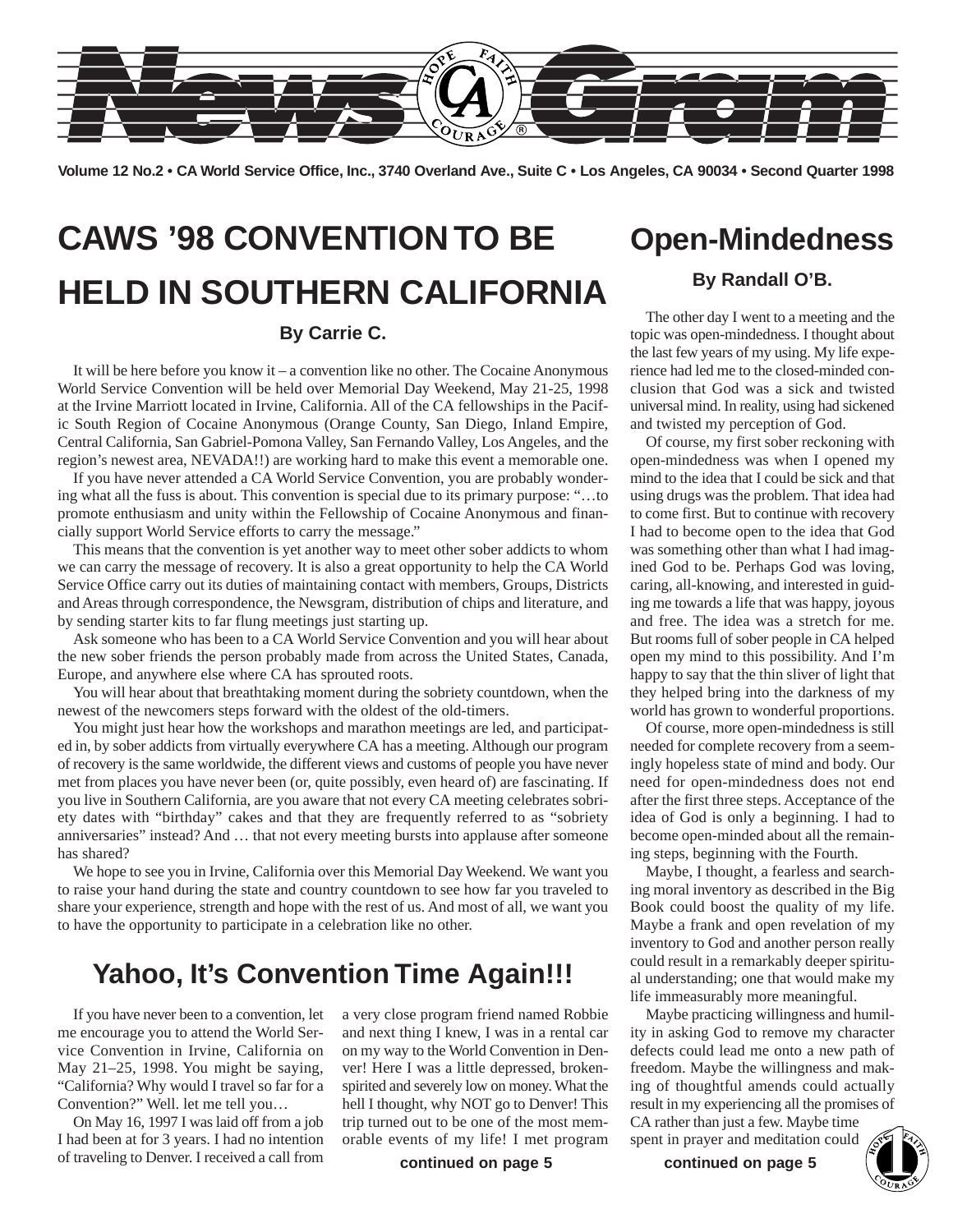

**Volume 12 No.2 • CA World Service Office, Inc., 3740 Overland Ave., Suite C • Los Angeles, CA 90034 • Second Quarter 1998**

# **CAWS '98 CONVENTION TO BE HELD IN SOUTHERN CALIFORNIA**

### **By Carrie C.**

It will be here before you know it – a convention like no other. The Cocaine Anonymous World Service Convention will be held over Memorial Day Weekend, May 21-25, 1998 at the Irvine Marriott located in Irvine, California. All of the CA fellowships in the Pacific South Region of Cocaine Anonymous (Orange County, San Diego, Inland Empire, Central California, San Gabriel-Pomona Valley, San Fernando Valley, Los Angeles, and the region's newest area, NEVADA!!) are working hard to make this event a memorable one.

If you have never attended a CA World Service Convention, you are probably wondering what all the fuss is about. This convention is special due to its primary purpose: "…to promote enthusiasm and unity within the Fellowship of Cocaine Anonymous and financially support World Service efforts to carry the message."

This means that the convention is yet another way to meet other sober addicts to whom we can carry the message of recovery. It is also a great opportunity to help the CA World Service Office carry out its duties of maintaining contact with members, Groups, Districts and Areas through correspondence, the Newsgram, distribution of chips and literature, and by sending starter kits to far flung meetings just starting up.

Ask someone who has been to a CA World Service Convention and you will hear about the new sober friends the person probably made from across the United States, Canada, Europe, and anywhere else where CA has sprouted roots.

You will hear about that breathtaking moment during the sobriety countdown, when the newest of the newcomers steps forward with the oldest of the old-timers.

You might just hear how the workshops and marathon meetings are led, and participated in, by sober addicts from virtually everywhere CA has a meeting. Although our program of recovery is the same worldwide, the different views and customs of people you have never met from places you have never been (or, quite possibly, even heard of) are fascinating. If you live in Southern California, are you aware that not every CA meeting celebrates sobriety dates with "birthday" cakes and that they are frequently referred to as "sobriety anniversaries" instead? And … that not every meeting bursts into applause after someone has shared?

We hope to see you in Irvine, California over this Memorial Day Weekend. We want you to raise your hand during the state and country countdown to see how far you traveled to share your experience, strength and hope with the rest of us. And most of all, we want you to have the opportunity to participate in a celebration like no other.

### **Yahoo, It's Convention Time Again!!!**

If you have never been to a convention, let me encourage you to attend the World Service Convention in Irvine, California on May 21–25, 1998. You might be saying, "California? Why would I travel so far for a Convention?" Well. let me tell you…

On May 16, 1997 I was laid off from a job I had been at for 3 years. I had no intention of traveling to Denver. I received a call from

a very close program friend named Robbie and next thing I knew, I was in a rental car on my way to the World Convention in Denver! Here I was a little depressed, brokenspirited and severely low on money. What the hell I thought, why NOT go to Denver! This trip turned out to be one of the most memorable events of my life! I met program

**continued on page 5**

## **Open-Mindedness**

### **By Randall O'B.**

The other day I went to a meeting and the topic was open-mindedness. I thought about the last few years of my using. My life experience had led me to the closed-minded conclusion that God was a sick and twisted universal mind. In reality, using had sickened and twisted my perception of God.

Of course, my first sober reckoning with open-mindedness was when I opened my mind to the idea that I could be sick and that using drugs was the problem. That idea had to come first. But to continue with recovery I had to become open to the idea that God was something other than what I had imagined God to be. Perhaps God was loving, caring, all-knowing, and interested in guiding me towards a life that was happy, joyous and free. The idea was a stretch for me. But rooms full of sober people in CA helped open my mind to this possibility. And I'm happy to say that the thin sliver of light that they helped bring into the darkness of my world has grown to wonderful proportions.

Of course, more open-mindedness is still needed for complete recovery from a seemingly hopeless state of mind and body. Our need for open-mindedness does not end after the first three steps. Acceptance of the idea of God is only a beginning. I had to become open-minded about all the remaining steps, beginning with the Fourth.

Maybe, I thought, a fearless and searching moral inventory as described in the Big Book could boost the quality of my life. Maybe a frank and open revelation of my inventory to God and another person really could result in a remarkably deeper spiritual understanding; one that would make my life immeasurably more meaningful.

Maybe practicing willingness and humility in asking God to remove my character defects could lead me onto a new path of freedom. Maybe the willingness and making of thoughtful amends could actually result in my experiencing all the promises of CA rather than just a few. Maybe time spent in prayer and meditation could ther than just a few. Maybe time<br>in prayer and meditation could<br>**continued on page 5** 

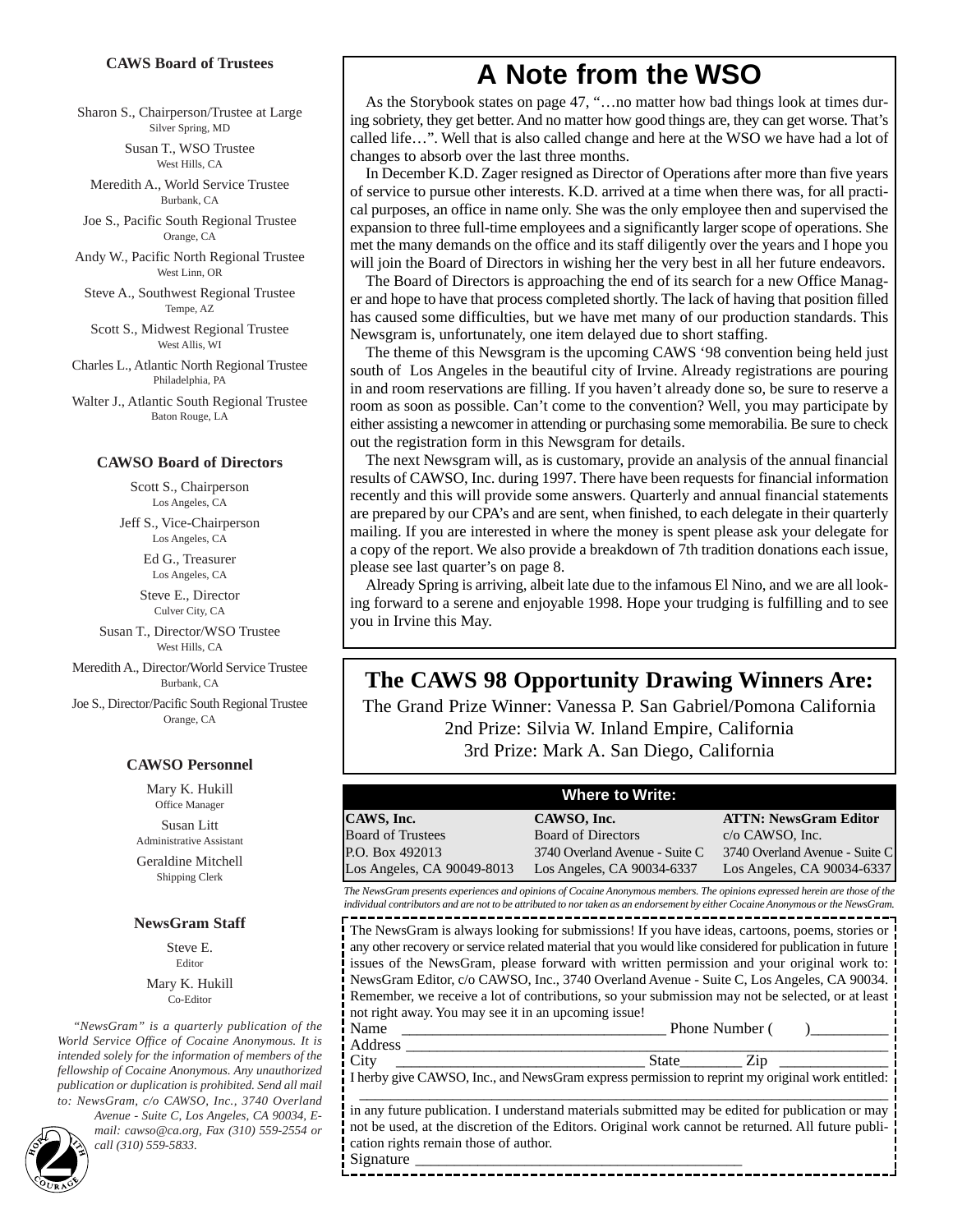#### **CAWS Board of Trustees**

Sharon S., Chairperson/Trustee at Large Silver Spring, MD

> Susan T., WSO Trustee West Hills, CA

Meredith A., World Service Trustee Burbank, CA

Joe S., Pacific South Regional Trustee Orange, CA

Andy W., Pacific North Regional Trustee West Linn, OR

Steve A., Southwest Regional Trustee Tempe, AZ

Scott S., Midwest Regional Trustee West Allis, WI

Charles L., Atlantic North Regional Trustee Philadelphia, PA

Walter J., Atlantic South Regional Trustee Baton Rouge, LA

#### **CAWSO Board of Directors**

Scott S., Chairperson Los Angeles, CA

Jeff S., Vice-Chairperson Los Angeles, CA

> Ed G., Treasurer Los Angeles, CA

Steve E., Director Culver City, CA

Susan T., Director/WSO Trustee West Hills, CA

Meredith A., Director/World Service Trustee Burbank, CA

Joe S., Director/Pacific South Regional Trustee Orange, CA

#### **CAWSO Personnel**

Mary K. Hukill Office Manager

Susan Litt Administrative Assistant

Geraldine Mitchell Shipping Clerk

#### **NewsGram Staff**

Steve E. Editor

Mary K. Hukill Co-Editor

*"NewsGram" is a quarterly publication of the World Service Office of Cocaine Anonymous. It is intended solely for the information of members of the fellowship of Cocaine Anonymous. Any unauthorized publication or duplication is prohibited. Send all mail to: NewsGram, c/o CAWSO, Inc., 3740 Overland*

*Avenue - Suite C, Los Angeles, CA 90034, Email: cawso@ca.org, Fax (310) 559-2554 or*<br> *call (310) 559-5833.*<br> *2*<br> *2*<br> *2*<br> *2*<br> *2*<br> *2*<br> *2* 

### **A Note from the WSO**

As the Storybook states on page 47, "…no matter how bad things look at times during sobriety, they get better. And no matter how good things are, they can get worse. That's called life…". Well that is also called change and here at the WSO we have had a lot of changes to absorb over the last three months.

In December K.D. Zager resigned as Director of Operations after more than five years of service to pursue other interests. K.D. arrived at a time when there was, for all practical purposes, an office in name only. She was the only employee then and supervised the expansion to three full-time employees and a significantly larger scope of operations. She met the many demands on the office and its staff diligently over the years and I hope you will join the Board of Directors in wishing her the very best in all her future endeavors.

The Board of Directors is approaching the end of its search for a new Office Manager and hope to have that process completed shortly. The lack of having that position filled has caused some difficulties, but we have met many of our production standards. This Newsgram is, unfortunately, one item delayed due to short staffing.

The theme of this Newsgram is the upcoming CAWS '98 convention being held just south of Los Angeles in the beautiful city of Irvine. Already registrations are pouring in and room reservations are filling. If you haven't already done so, be sure to reserve a room as soon as possible. Can't come to the convention? Well, you may participate by either assisting a newcomer in attending or purchasing some memorabilia. Be sure to check out the registration form in this Newsgram for details.

The next Newsgram will, as is customary, provide an analysis of the annual financial results of CAWSO, Inc. during 1997. There have been requests for financial information recently and this will provide some answers. Quarterly and annual financial statements are prepared by our CPA's and are sent, when finished, to each delegate in their quarterly mailing. If you are interested in where the money is spent please ask your delegate for a copy of the report. We also provide a breakdown of 7th tradition donations each issue, please see last quarter's on page 8.

Already Spring is arriving, albeit late due to the infamous El Nino, and we are all looking forward to a serene and enjoyable 1998. Hope your trudging is fulfilling and to see you in Irvine this May.

### **The CAWS 98 Opportunity Drawing Winners Are:**

The Grand Prize Winner: Vanessa P. San Gabriel/Pomona California 2nd Prize: Silvia W. Inland Empire, California 3rd Prize: Mark A. San Diego, California

| <b>Where to Write:</b>     |                                |                                |  |  |  |
|----------------------------|--------------------------------|--------------------------------|--|--|--|
| CAWS, Inc.                 | CAWSO, Inc.                    | <b>ATTN: NewsGram Editor</b>   |  |  |  |
| <b>Board of Trustees</b>   | <b>Board of Directors</b>      | $c/o$ CAWSO, Inc.              |  |  |  |
| P.O. Box 492013            | 3740 Overland Avenue - Suite C | 3740 Overland Avenue - Suite C |  |  |  |
| Los Angeles, CA 90049-8013 | Los Angeles, CA 90034-6337     | Los Angeles, CA 90034-6337     |  |  |  |

*The NewsGram presents experiences and opinions of Cocaine Anonymous members. The opinions expressed herein are those of the individual contributors and are not to be attributed to nor taken as an endorsement by either Cocaine Anonymous or the NewsGram.* ----------------------------------

The NewsGram is always looking for submissions! If you have ideas, cartoons, poems, stories or any other recovery or service related material that you would like considered for publication in future issues of the NewsGram, please forward with written permission and your original work to: NewsGram Editor, c/o CAWSO, Inc., 3740 Overland Avenue - Suite C, Los Angeles, CA 90034. Remember, we receive a lot of contributions, so your submission may not be selected, or at least not right away. You may see it in an upcoming issue!

Name \_\_\_\_\_\_\_\_\_\_\_\_\_\_\_\_\_\_\_\_\_\_\_\_\_\_\_\_\_\_\_\_\_\_ Phone Number ( )\_\_\_\_\_\_\_\_\_\_ Address \_\_\_\_\_\_\_\_\_\_\_\_\_\_\_\_\_\_\_\_\_\_\_\_\_\_\_\_\_\_\_\_\_\_\_\_\_\_\_\_\_\_\_\_\_\_\_\_\_\_\_\_\_\_\_\_\_\_\_\_\_\_

City \_\_\_\_\_\_\_\_\_\_\_\_\_\_\_\_\_\_\_\_\_\_\_\_\_\_\_\_\_\_\_\_ State\_\_\_\_\_\_\_\_ Zip \_\_\_\_\_\_\_\_\_\_\_\_\_\_ I herby give CAWSO, Inc., and NewsGram express permission to reprint my original work entitled: \_\_\_\_\_\_\_\_\_\_\_\_\_\_\_\_\_\_\_\_\_\_\_\_\_\_\_\_\_\_\_\_\_\_\_\_\_\_\_\_\_\_\_\_\_\_\_\_\_\_\_\_\_\_\_\_\_\_\_\_\_\_\_\_\_\_\_\_

in any future publication. I understand materials submitted may be edited for publication or may not be used, at the discretion of the Editors. Original work cannot be returned. All future publication rights remain those of author. Signature

--------------------------------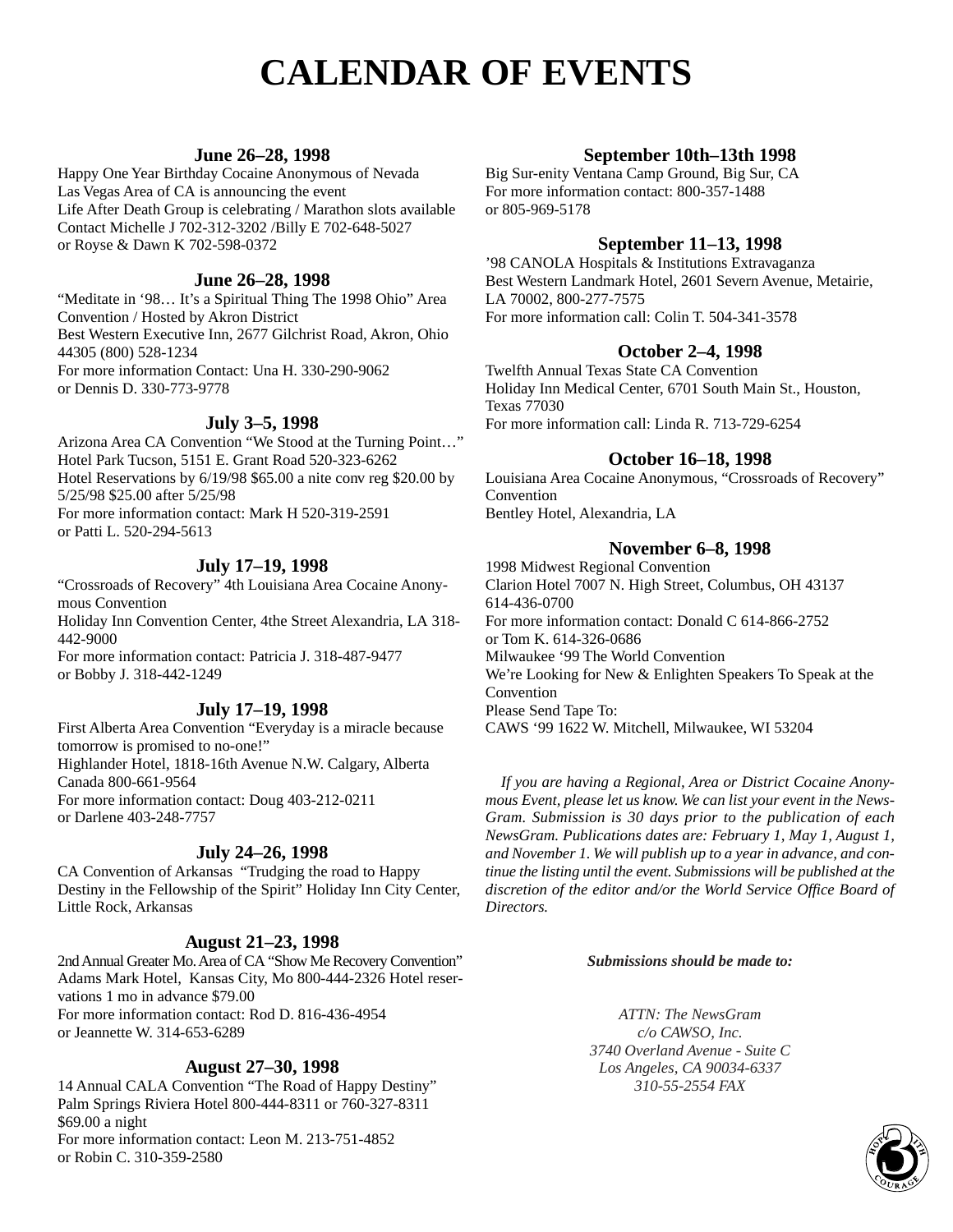## **CALENDAR OF EVENTS**

### **June 26–28, 1998**

Happy One Year Birthday Cocaine Anonymous of Nevada Las Vegas Area of CA is announcing the event Life After Death Group is celebrating / Marathon slots available Contact Michelle J 702-312-3202 /Billy E 702-648-5027 or Royse & Dawn K 702-598-0372

### **June 26–28, 1998**

"Meditate in '98… It's a Spiritual Thing The 1998 Ohio" Area Convention / Hosted by Akron District Best Western Executive Inn, 2677 Gilchrist Road, Akron, Ohio 44305 (800) 528-1234 For more information Contact: Una H. 330-290-9062 or Dennis D. 330-773-9778

### **July 3–5, 1998**

Arizona Area CA Convention "We Stood at the Turning Point…" Hotel Park Tucson, 5151 E. Grant Road 520-323-6262 Hotel Reservations by 6/19/98 \$65.00 a nite conv reg \$20.00 by 5/25/98 \$25.00 after 5/25/98 For more information contact: Mark H 520-319-2591 or Patti L. 520-294-5613

### **July 17–19, 1998**

"Crossroads of Recovery" 4th Louisiana Area Cocaine Anonymous Convention Holiday Inn Convention Center, 4the Street Alexandria, LA 318-

442-9000 For more information contact: Patricia J. 318-487-9477

or Bobby J. 318-442-1249

### **July 17–19, 1998**

First Alberta Area Convention "Everyday is a miracle because tomorrow is promised to no-one!" Highlander Hotel, 1818-16th Avenue N.W. Calgary, Alberta Canada 800-661-9564 For more information contact: Doug 403-212-0211 or Darlene 403-248-7757

### **July 24–26, 1998**

CA Convention of Arkansas "Trudging the road to Happy Destiny in the Fellowship of the Spirit" Holiday Inn City Center, Little Rock, Arkansas

### **August 21–23, 1998**

2nd Annual Greater Mo. Area of CA "Show Me Recovery Convention" Adams Mark Hotel, Kansas City, Mo 800-444-2326 Hotel reservations 1 mo in advance \$79.00 For more information contact: Rod D. 816-436-4954 or Jeannette W. 314-653-6289

### **August 27–30, 1998**

14 Annual CALA Convention "The Road of Happy Destiny" Palm Springs Riviera Hotel 800-444-8311 or 760-327-8311 \$69.00 a night For more information contact: Leon M. 213-751-4852 or Robin C. 310-359-2580

### **September 10th–13th 1998**

Big Sur-enity Ventana Camp Ground, Big Sur, CA For more information contact: 800-357-1488 or 805-969-5178

### **September 11–13, 1998**

'98 CANOLA Hospitals & Institutions Extravaganza Best Western Landmark Hotel, 2601 Severn Avenue, Metairie, LA 70002, 800-277-7575 For more information call: Colin T. 504-341-3578

### **October 2–4, 1998**

Twelfth Annual Texas State CA Convention Holiday Inn Medical Center, 6701 South Main St., Houston, Texas 77030 For more information call: Linda R. 713-729-6254

### **October 16–18, 1998**

Louisiana Area Cocaine Anonymous, "Crossroads of Recovery" Convention Bentley Hotel, Alexandria, LA

### **November 6–8, 1998**

1998 Midwest Regional Convention Clarion Hotel 7007 N. High Street, Columbus, OH 43137 614-436-0700 For more information contact: Donald C 614-866-2752 or Tom K. 614-326-0686 Milwaukee '99 The World Convention We're Looking for New & Enlighten Speakers To Speak at the Convention Please Send Tape To: CAWS '99 1622 W. Mitchell, Milwaukee, WI 53204

*If you are having a Regional, Area or District Cocaine Anonymous Event, please let us know. We can list your event in the News-Gram. Submission is 30 days prior to the publication of each NewsGram. Publications dates are: February 1, May 1, August 1, and November 1. We will publish up to a year in advance, and continue the listing until the event. Submissions will be published at the discretion of the editor and/or the World Service Office Board of Directors.*

#### *Submissions should be made to:*

*ATTN: The NewsGram c/o CAWSO, Inc. 3740 Overland Avenue - Suite C Los Angeles, CA 90034-6337 310-55-2554 FAX*

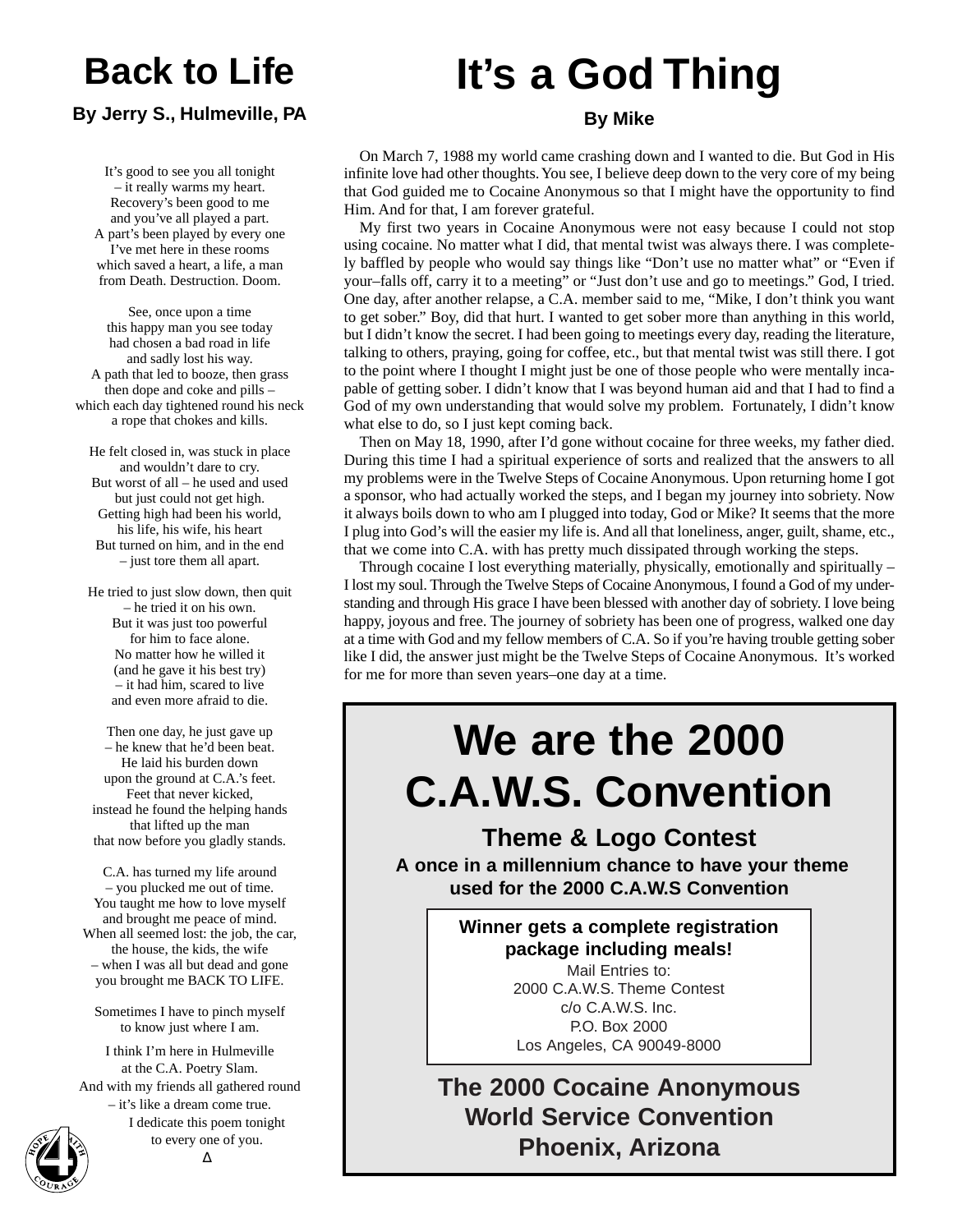## **Back to Life**

### **By Jerry S., Hulmeville, PA**

It's good to see you all tonight – it really warms my heart. Recovery's been good to me and you've all played a part. A part's been played by every one I've met here in these rooms which saved a heart, a life, a man from Death. Destruction. Doom.

See, once upon a time this happy man you see today had chosen a bad road in life and sadly lost his way. A path that led to booze, then grass then dope and coke and pills – which each day tightened round his neck a rope that chokes and kills.

He felt closed in, was stuck in place and wouldn't dare to cry. But worst of all – he used and used but just could not get high. Getting high had been his world, his life, his wife, his heart But turned on him, and in the end – just tore them all apart.

He tried to just slow down, then quit – he tried it on his own. But it was just too powerful for him to face alone. No matter how he willed it (and he gave it his best try) – it had him, scared to live and even more afraid to die.

Then one day, he just gave up – he knew that he'd been beat. He laid his burden down upon the ground at C.A.'s feet. Feet that never kicked, instead he found the helping hands that lifted up the man that now before you gladly stands.

C.A. has turned my life around – you plucked me out of time. You taught me how to love myself and brought me peace of mind. When all seemed lost: the job, the car, the house, the kids, the wife – when I was all but dead and gone you brought me BACK TO LIFE.

Sometimes I have to pinch myself to know just where I am.

I think I'm here in Hulmeville at the C.A. Poetry Slam. And with my friends all gathered round – it's like a dream come true. I dedicate this poem tonight

## **It's a God Thing**

### **By Mike**

On March 7, 1988 my world came crashing down and I wanted to die. But God in His infinite love had other thoughts. You see, I believe deep down to the very core of my being that God guided me to Cocaine Anonymous so that I might have the opportunity to find Him. And for that, I am forever grateful.

My first two years in Cocaine Anonymous were not easy because I could not stop using cocaine. No matter what I did, that mental twist was always there. I was completely baffled by people who would say things like "Don't use no matter what" or "Even if your–falls off, carry it to a meeting" or "Just don't use and go to meetings." God, I tried. One day, after another relapse, a C.A. member said to me, "Mike, I don't think you want to get sober." Boy, did that hurt. I wanted to get sober more than anything in this world, but I didn't know the secret. I had been going to meetings every day, reading the literature, talking to others, praying, going for coffee, etc., but that mental twist was still there. I got to the point where I thought I might just be one of those people who were mentally incapable of getting sober. I didn't know that I was beyond human aid and that I had to find a God of my own understanding that would solve my problem. Fortunately, I didn't know what else to do, so I just kept coming back.

Then on May 18, 1990, after I'd gone without cocaine for three weeks, my father died. During this time I had a spiritual experience of sorts and realized that the answers to all my problems were in the Twelve Steps of Cocaine Anonymous. Upon returning home I got a sponsor, who had actually worked the steps, and I began my journey into sobriety. Now it always boils down to who am I plugged into today, God or Mike? It seems that the more I plug into God's will the easier my life is. And all that loneliness, anger, guilt, shame, etc., that we come into C.A. with has pretty much dissipated through working the steps.

Through cocaine I lost everything materially, physically, emotionally and spiritually  $-$ I lost my soul. Through the Twelve Steps of Cocaine Anonymous, I found a God of my understanding and through His grace I have been blessed with another day of sobriety. I love being happy, joyous and free. The journey of sobriety has been one of progress, walked one day at a time with God and my fellow members of C.A. So if you're having trouble getting sober like I did, the answer just might be the Twelve Steps of Cocaine Anonymous. It's worked for me for more than seven years–one day at a time.

# **We are the 2000 C.A.W.S. Convention**

**Theme & Logo Contest**

**A once in a millennium chance to have your theme used for the 2000 C.A.W.S Convention**

> **Winner gets a complete registration package including meals!** Mail Entries to:

2000 C.A.W.S. Theme Contest c/o C.A.W.S. Inc. P.O. Box 2000 Los Angeles, CA 90049-8000

**The 2000 Cocaine Anonymous World Service Convention Phoenix, Arizona**

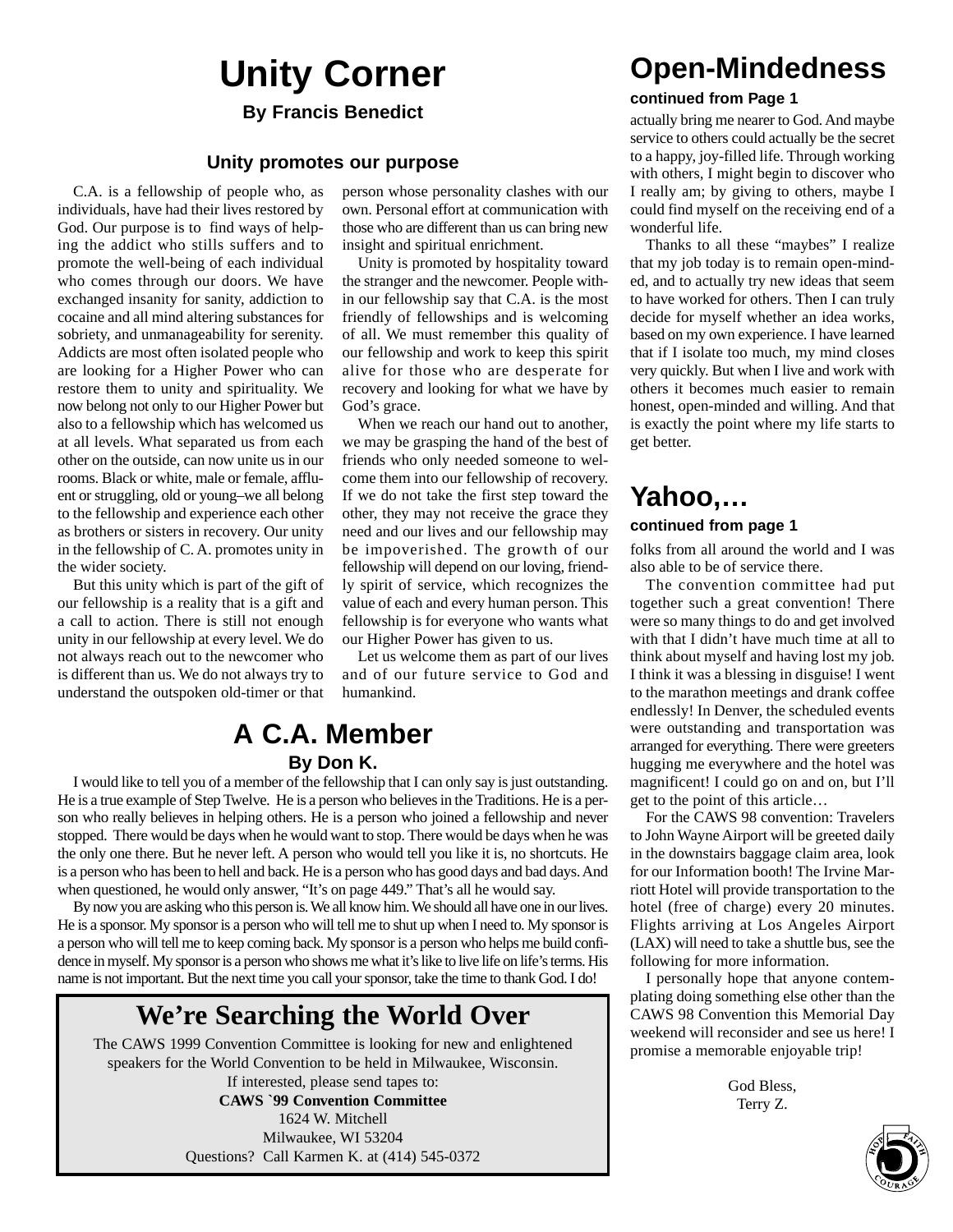## **Unity Corner**

### **Unity promotes our purpose**

C.A. is a fellowship of people who, as individuals, have had their lives restored by God. Our purpose is to find ways of helping the addict who stills suffers and to promote the well-being of each individual who comes through our doors. We have exchanged insanity for sanity, addiction to cocaine and all mind altering substances for sobriety, and unmanageability for serenity. Addicts are most often isolated people who are looking for a Higher Power who can restore them to unity and spirituality. We now belong not only to our Higher Power but also to a fellowship which has welcomed us at all levels. What separated us from each other on the outside, can now unite us in our rooms. Black or white, male or female, affluent or struggling, old or young–we all belong to the fellowship and experience each other as brothers or sisters in recovery. Our unity in the fellowship of C. A. promotes unity in the wider society.

But this unity which is part of the gift of our fellowship is a reality that is a gift and a call to action. There is still not enough unity in our fellowship at every level. We do not always reach out to the newcomer who is different than us. We do not always try to understand the outspoken old-timer or that person whose personality clashes with our own. Personal effort at communication with those who are different than us can bring new insight and spiritual enrichment.

Unity is promoted by hospitality toward the stranger and the newcomer. People within our fellowship say that C.A. is the most friendly of fellowships and is welcoming of all. We must remember this quality of our fellowship and work to keep this spirit alive for those who are desperate for recovery and looking for what we have by God's grace.

When we reach our hand out to another, we may be grasping the hand of the best of friends who only needed someone to welcome them into our fellowship of recovery. If we do not take the first step toward the other, they may not receive the grace they need and our lives and our fellowship may be impoverished. The growth of our fellowship will depend on our loving, friendly spirit of service, which recognizes the value of each and every human person. This fellowship is for everyone who wants what our Higher Power has given to us.

Let us welcome them as part of our lives and of our future service to God and humankind.

### **A C.A. Member By Don K.**

I would like to tell you of a member of the fellowship that I can only say is just outstanding. He is a true example of Step Twelve. He is a person who believes in the Traditions. He is a person who really believes in helping others. He is a person who joined a fellowship and never stopped. There would be days when he would want to stop. There would be days when he was the only one there. But he never left. A person who would tell you like it is, no shortcuts. He is a person who has been to hell and back. He is a person who has good days and bad days. And when questioned, he would only answer, "It's on page 449." That's all he would say.

By now you are asking who this person is. We all know him. We should all have one in our lives. He is a sponsor. My sponsor is a person who will tell me to shut up when I need to. My sponsor is a person who will tell me to keep coming back. My sponsor is a person who helps me build confidence in myself. My sponsor is a person who shows me what it's like to live life on life's terms. His name is not important. But the next time you call your sponsor, take the time to thank God. I do!

### **We're Searching the World Over**

The CAWS 1999 Convention Committee is looking for new and enlightened speakers for the World Convention to be held in Milwaukee, Wisconsin.

If interested, please send tapes to: **CAWS `99 Convention Committee** 1624 W. Mitchell Milwaukee, WI 53204 Questions? Call Karmen K. at (414) 545-0372

## **Open-Mindedness**

#### **continued from Page 1**

**By Francis Benedict** actually bring me nearer to God. And maybe service to others could actually be the secret to a happy, joy-filled life. Through working with others, I might begin to discover who I really am; by giving to others, maybe I could find myself on the receiving end of a wonderful life.

> Thanks to all these "maybes" I realize that my job today is to remain open-minded, and to actually try new ideas that seem to have worked for others. Then I can truly decide for myself whether an idea works, based on my own experience. I have learned that if I isolate too much, my mind closes very quickly. But when I live and work with others it becomes much easier to remain honest, open-minded and willing. And that is exactly the point where my life starts to get better.

### **Yahoo,…**

### **continued from page 1**

folks from all around the world and I was also able to be of service there.

The convention committee had put together such a great convention! There were so many things to do and get involved with that I didn't have much time at all to think about myself and having lost my job. I think it was a blessing in disguise! I went to the marathon meetings and drank coffee endlessly! In Denver, the scheduled events were outstanding and transportation was arranged for everything. There were greeters hugging me everywhere and the hotel was magnificent! I could go on and on, but I'll get to the point of this article…

For the CAWS 98 convention: Travelers to John Wayne Airport will be greeted daily in the downstairs baggage claim area, look for our Information booth! The Irvine Marriott Hotel will provide transportation to the hotel (free of charge) every 20 minutes. Flights arriving at Los Angeles Airport (LAX) will need to take a shuttle bus, see the following for more information.

I personally hope that anyone contemplating doing something else other than the CAWS 98 Convention this Memorial Day weekend will reconsider and see us here! I promise a memorable enjoyable trip!

> God Bless, Terry Z.

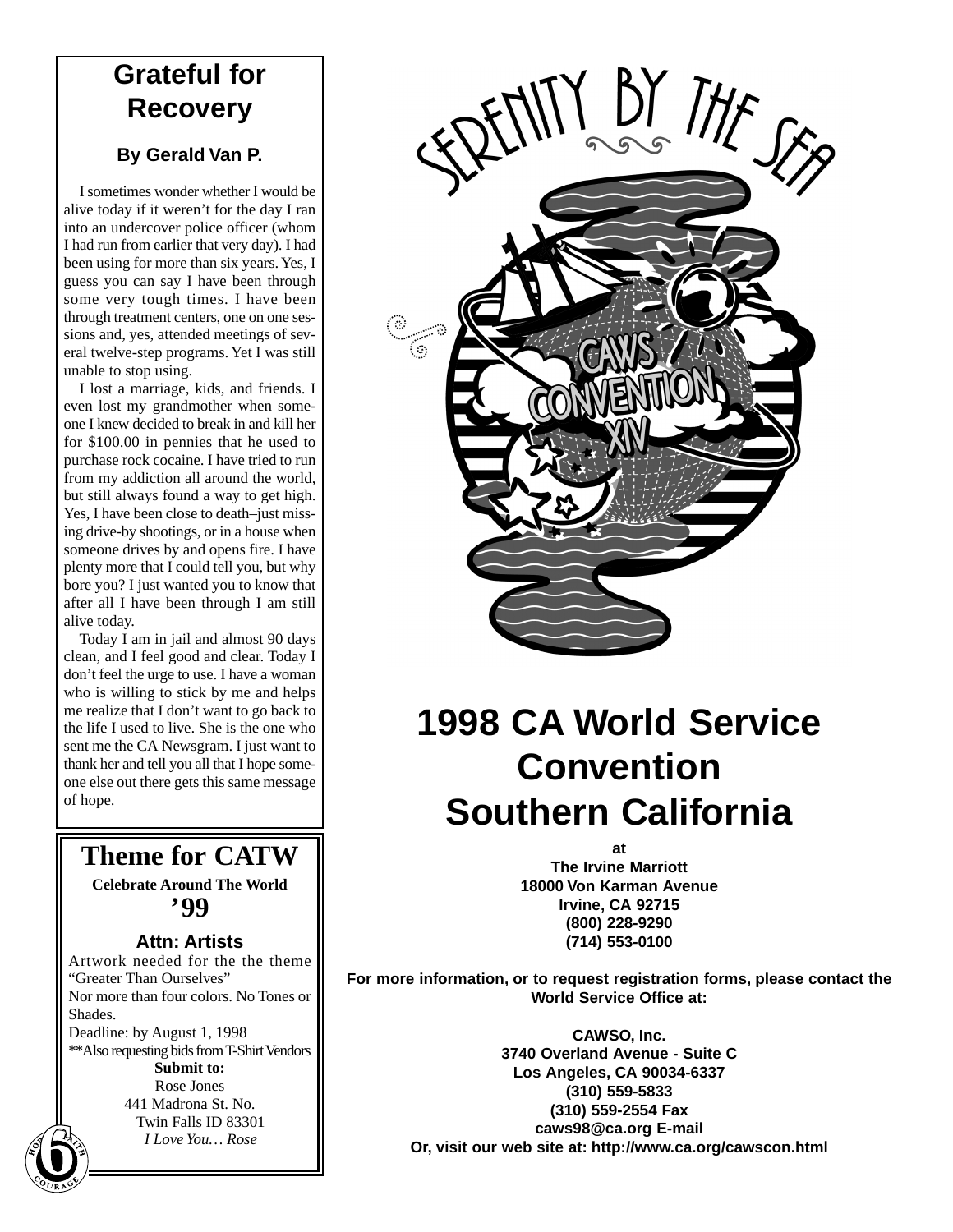### **Grateful for Recovery**

### **By Gerald Van P.**

I sometimes wonder whether I would be alive today if it weren't for the day I ran into an undercover police officer (whom I had run from earlier that very day). I had been using for more than six years. Yes, I guess you can say I have been through some very tough times. I have been through treatment centers, one on one sessions and, yes, attended meetings of several twelve-step programs. Yet I was still unable to stop using.

I lost a marriage, kids, and friends. I even lost my grandmother when someone I knew decided to break in and kill her for \$100.00 in pennies that he used to purchase rock cocaine. I have tried to run from my addiction all around the world, but still always found a way to get high. Yes, I have been close to death–just missing drive-by shootings, or in a house when someone drives by and opens fire. I have plenty more that I could tell you, but why bore you? I just wanted you to know that after all I have been through I am still alive today.

Today I am in jail and almost 90 days clean, and I feel good and clear. Today I don't feel the urge to use. I have a woman who is willing to stick by me and helps me realize that I don't want to go back to the life I used to live. She is the one who sent me the CA Newsgram. I just want to thank her and tell you all that I hope someone else out there gets this same message of hope.

**Theme for CATW Celebrate Around The World '99**

### **Attn: Artists**

Artwork needed for the the theme "Greater Than Ourselves" Nor more than four colors. No Tones or Shades. Deadline: by August 1, 1998 \*\*Also requesting bids from T-Shirt Vendors **Submit to:** Rose Jones 441 Madrona St. No. Twin Falls ID 83301 **I** Love You... Rose<br> **6 6 1** Love You... Rose



## **1998 CA World Service Convention Southern California**

**at The Irvine Marriott 18000 Von Karman Avenue Irvine, CA 92715 (800) 228-9290 (714) 553-0100**

**For more information, or to request registration forms, please contact the World Service Office at:**

> **CAWSO, Inc. 3740 Overland Avenue - Suite C Los Angeles, CA 90034-6337 (310) 559-5833 (310) 559-2554 Fax caws98@ca.org E-mail Or, visit our web site at: http://www.ca.org/cawscon.html**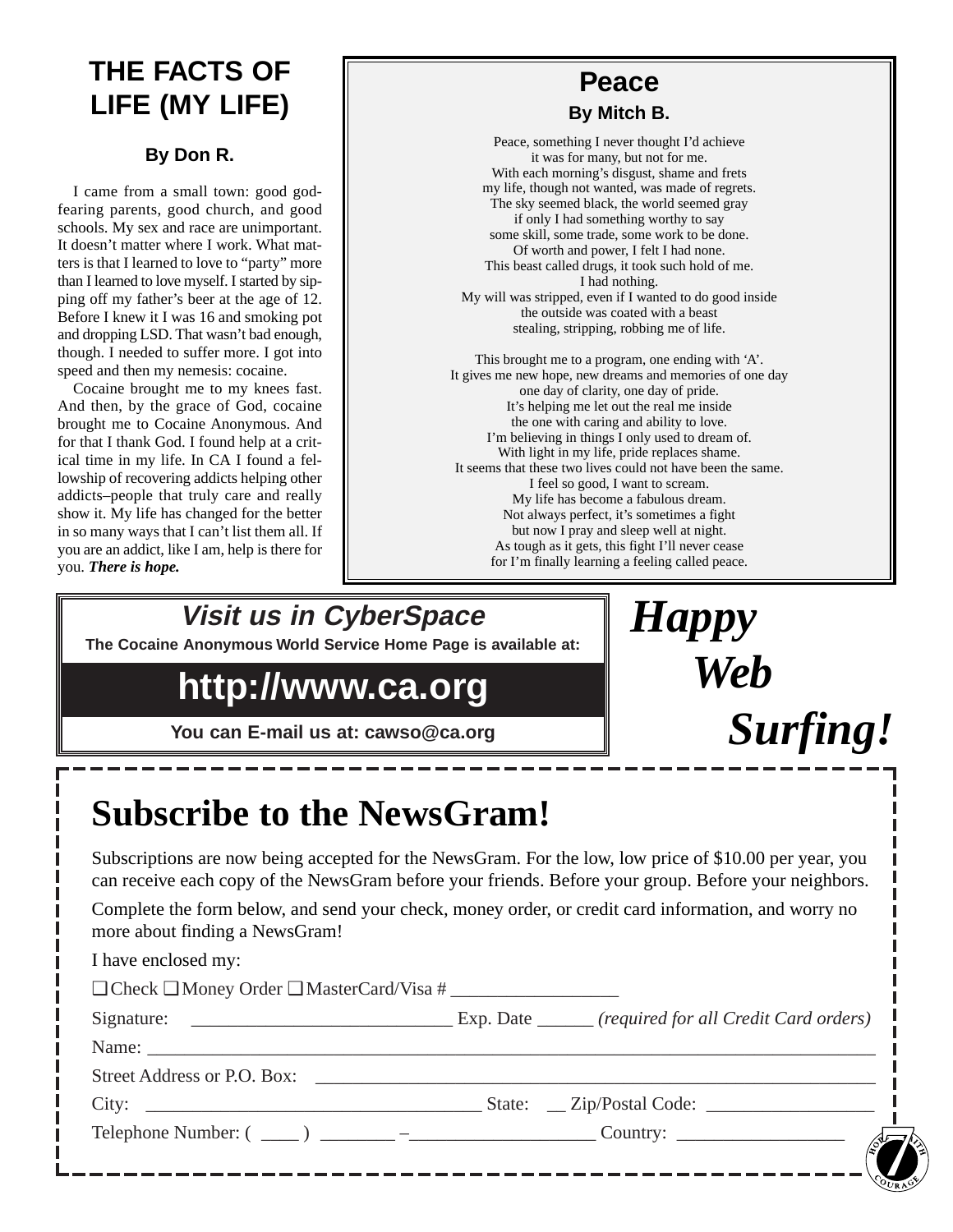## **THE FACTS OF LIFE (MY LIFE)**

### **By Don R.**

I came from a small town: good godfearing parents, good church, and good schools. My sex and race are unimportant. It doesn't matter where I work. What matters is that I learned to love to "party" more than I learned to love myself. I started by sipping off my father's beer at the age of 12. Before I knew it I was 16 and smoking pot and dropping LSD. That wasn't bad enough, though. I needed to suffer more. I got into speed and then my nemesis: cocaine.

Cocaine brought me to my knees fast. And then, by the grace of God, cocaine brought me to Cocaine Anonymous. And for that I thank God. I found help at a critical time in my life. In CA I found a fellowship of recovering addicts helping other addicts–people that truly care and really show it. My life has changed for the better in so many ways that I can't list them all. If you are an addict, like I am, help is there for you. *There is hope.*

## **Peace**

**By Mitch B.**

Peace, something I never thought I'd achieve it was for many, but not for me. With each morning's disgust, shame and frets my life, though not wanted, was made of regrets. The sky seemed black, the world seemed gray if only I had something worthy to say some skill, some trade, some work to be done. Of worth and power, I felt I had none. This beast called drugs, it took such hold of me. I had nothing. My will was stripped, even if I wanted to do good inside the outside was coated with a beast stealing, stripping, robbing me of life.

This brought me to a program, one ending with 'A'. It gives me new hope, new dreams and memories of one day one day of clarity, one day of pride. It's helping me let out the real me inside the one with caring and ability to love. I'm believing in things I only used to dream of. With light in my life, pride replaces shame. It seems that these two lives could not have been the same. I feel so good, I want to scream. My life has become a fabulous dream. Not always perfect, it's sometimes a fight but now I pray and sleep well at night. As tough as it gets, this fight I'll never cease for I'm finally learning a feeling called peace.

## **Visit us in CyberSpace**

**The Cocaine Anonymous World Service Home Page is available at:**

## **http://www.ca.org**

**You can E-mail us at: cawso@ca.org**



## **Subscribe to the NewsGram!**

Subscriptions are now being accepted for the NewsGram. For the low, low price of \$10.00 per year, you can receive each copy of the NewsGram before your friends. Before your group. Before your neighbors.

Complete the form below, and send your check, money order, or credit card information, and worry no more about finding a NewsGram!

| I have enclosed my:                                      |  |
|----------------------------------------------------------|--|
| $\Box$ Check $\Box$ Money Order $\Box$ MasterCard/Visa # |  |
|                                                          |  |
|                                                          |  |
| Street Address or P.O. Box:                              |  |
|                                                          |  |
|                                                          |  |